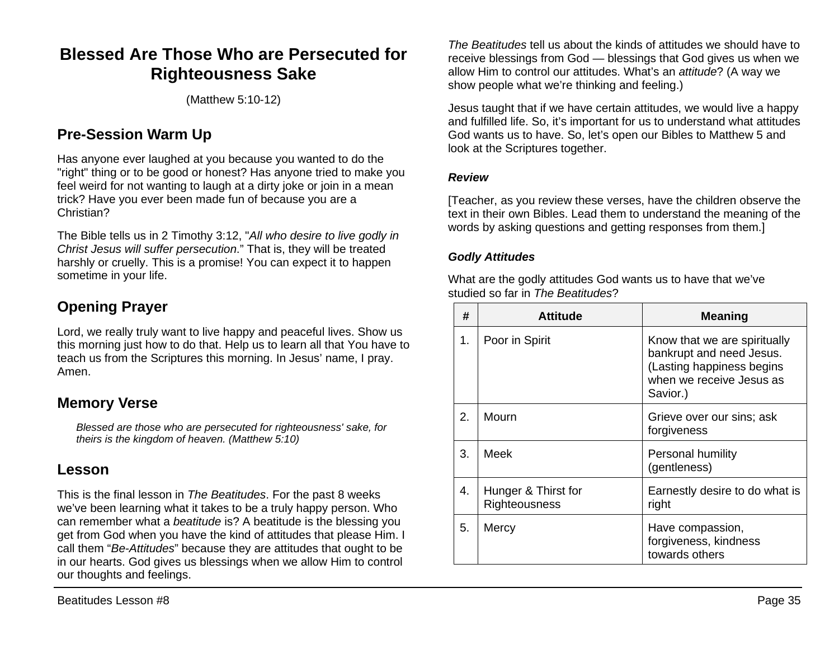# **Blessed Are Those Who are Persecuted for Righteousness Sake**

(Matthew 5:10-12)

## **Pre-Session Warm Up**

Has anyone ever laughed at you because you wanted to do the "right" thing or to be good or honest? Has anyone tried to make you feel weird for not wanting to laugh at a dirty joke or join in a mean trick? Have you ever been made fun of because you are a Christian?

The Bible tells us in 2 Timothy 3:12, "*All who desire to live godly in Christ Jesus will suffer persecution*." That is, they will be treated harshly or cruelly. This is a promise! You can expect it to happen sometime in your life.

# **Opening Prayer**

Lord, we really truly want to live happy and peaceful lives. Show us this morning just how to do that. Help us to learn all that You have to teach us from the Scriptures this morning. In Jesus' name, I pray. Amen.

## **Memory Verse**

*Blessed are those who are persecuted for righteousness' sake, for theirs is the kingdom of heaven. (Matthew 5:10)*

## **Lesson**

This is the final lesson in *The Beatitudes*. For the past 8 weeks we've been learning what it takes to be a truly happy person. Who can remember what a *beatitude* is? A beatitude is the blessing you get from God when you have the kind of attitudes that please Him. I call them "*Be-Attitudes*" because they are attitudes that ought to be in our hearts. God gives us blessings when we allow Him to control our thoughts and feelings.

*The Beatitudes* tell us about the kinds of attitudes we should have to receive blessings from God — blessings that God gives us when we allow Him to control our attitudes. What's an *attitude*? (A way we show people what we're thinking and feeling.)

Jesus taught that if we have certain attitudes, we would live a happy and fulfilled life. So, it's important for us to understand what attitudes God wants us to have. So, let's open our Bibles to Matthew 5 and look at the Scriptures together.

#### *Review*

[Teacher, as you review these verses, have the children observe the text in their own Bibles. Lead them to understand the meaning of the words by asking questions and getting responses from them.]

### *Godly Attitudes*

What are the godly attitudes God wants us to have that we've studied so far in *The Beatitudes*?

| #  | <b>Attitude</b>                      | <b>Meaning</b>                                                                                                                |
|----|--------------------------------------|-------------------------------------------------------------------------------------------------------------------------------|
| 1. | Poor in Spirit                       | Know that we are spiritually<br>bankrupt and need Jesus.<br>(Lasting happiness begins<br>when we receive Jesus as<br>Savior.) |
| 2. | Mourn                                | Grieve over our sins; ask<br>forgiveness                                                                                      |
| 3. | Meek                                 | Personal humility<br>(gentleness)                                                                                             |
| 4. | Hunger & Thirst for<br>Righteousness | Earnestly desire to do what is<br>right                                                                                       |
| 5. | Mercy                                | Have compassion,<br>forgiveness, kindness<br>towards others                                                                   |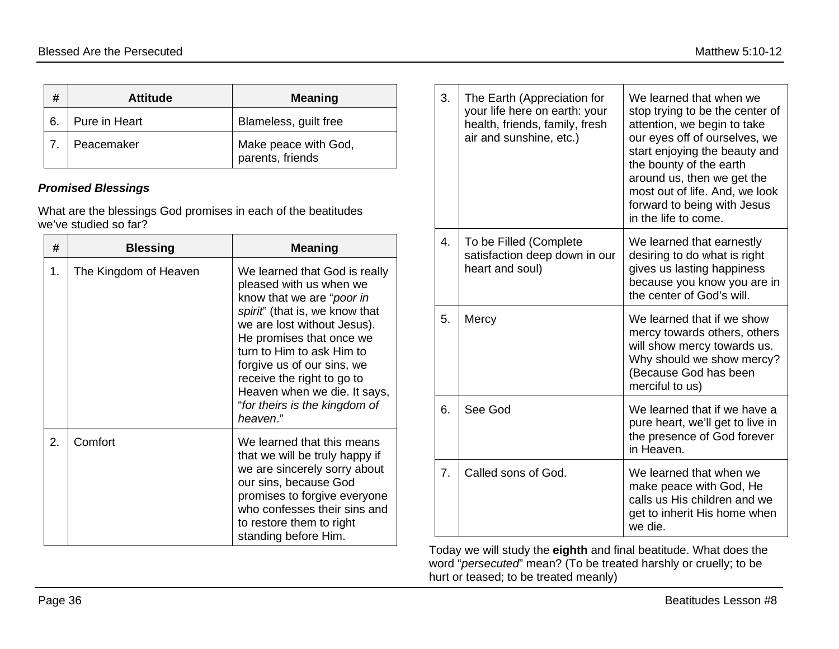| #  | <b>Attitude</b> | <b>Meaning</b>                           |
|----|-----------------|------------------------------------------|
| 6. | Pure in Heart   | Blameless, guilt free                    |
|    | Peacemaker      | Make peace with God,<br>parents, friends |

#### *Promised Blessings*

What are the blessings God promises in each of the beatitudes we've studied so far?

| #  | <b>Blessing</b>       | <b>Meaning</b>                                                                                                                                                                                                                                                                                                                                           |
|----|-----------------------|----------------------------------------------------------------------------------------------------------------------------------------------------------------------------------------------------------------------------------------------------------------------------------------------------------------------------------------------------------|
| 1. | The Kingdom of Heaven | We learned that God is really<br>pleased with us when we<br>know that we are "poor in<br>spirit" (that is, we know that<br>we are lost without Jesus).<br>He promises that once we<br>turn to Him to ask Him to<br>forgive us of our sins, we<br>receive the right to go to<br>Heaven when we die. It says,<br>"for theirs is the kingdom of<br>heaven." |
| 2. | Comfort               | We learned that this means<br>that we will be truly happy if<br>we are sincerely sorry about<br>our sins, because God<br>promises to forgive everyone<br>who confesses their sins and<br>to restore them to right<br>standing before Him.                                                                                                                |

| 3. | The Earth (Appreciation for<br>your life here on earth: your<br>health, friends, family, fresh<br>air and sunshine, etc.) | We learned that when we<br>stop trying to be the center of<br>attention, we begin to take<br>our eyes off of ourselves, we<br>start enjoying the beauty and<br>the bounty of the earth<br>around us, then we get the<br>most out of life. And, we look<br>forward to being with Jesus<br>in the life to come. |
|----|---------------------------------------------------------------------------------------------------------------------------|---------------------------------------------------------------------------------------------------------------------------------------------------------------------------------------------------------------------------------------------------------------------------------------------------------------|
| 4. | To be Filled (Complete<br>satisfaction deep down in our<br>heart and soul)                                                | We learned that earnestly<br>desiring to do what is right<br>gives us lasting happiness<br>because you know you are in<br>the center of God's will.                                                                                                                                                           |
| 5. | Mercy                                                                                                                     | We learned that if we show<br>mercy towards others, others<br>will show mercy towards us.<br>Why should we show mercy?<br>(Because God has been<br>merciful to us)                                                                                                                                            |
| 6. | See God                                                                                                                   | We learned that if we have a<br>pure heart, we'll get to live in<br>the presence of God forever<br>in Heaven.                                                                                                                                                                                                 |
| 7. | Called sons of God.                                                                                                       | We learned that when we<br>make peace with God, He<br>calls us His children and we<br>get to inherit His home when<br>we die.                                                                                                                                                                                 |

Today we will study the **eighth** and final beatitude. What does the word "*persecuted*" mean? (To be treated harshly or cruelly; to be hurt or teased; to be treated meanly)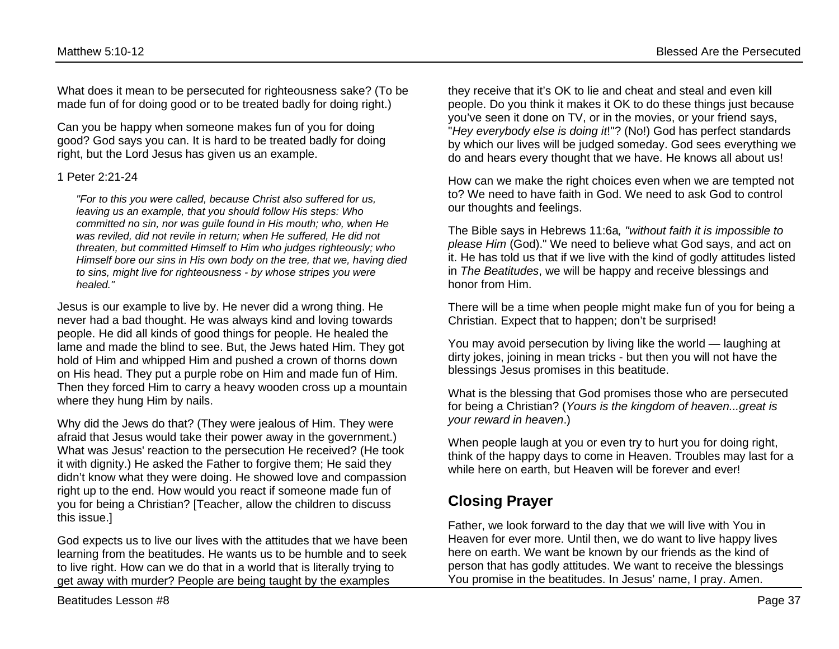What does it mean to be persecuted for righteousness sake? (To be made fun of for doing good or to be treated badly for doing right.)

Can you be happy when someone makes fun of you for doing good? God says you can. It is hard to be treated badly for doing right, but the Lord Jesus has given us an example.

#### 1 Peter 2:21-24

*"For to this you were called, because Christ also suffered for us, leaving us an example, that you should follow His steps: Who committed no sin, nor was guile found in His mouth; who, when He was reviled, did not revile in return; when He suffered, He did not threaten, but committed Himself to Him who judges righteously; who Himself bore our sins in His own body on the tree, that we, having died to sins, might live for righteousness - by whose stripes you were healed."* 

Jesus is our example to live by. He never did a wrong thing. He never had a bad thought. He was always kind and loving towards people. He did all kinds of good things for people. He healed the lame and made the blind to see. But, the Jews hated Him. They got hold of Him and whipped Him and pushed a crown of thorns down on His head. They put a purple robe on Him and made fun of Him. Then they forced Him to carry a heavy wooden cross up a mountain where they hung Him by nails.

Why did the Jews do that? (They were jealous of Him. They were afraid that Jesus would take their power away in the government.) What was Jesus' reaction to the persecution He received? (He took it with dignity.) He asked the Father to forgive them; He said they didn't know what they were doing. He showed love and compassion right up to the end. How would you react if someone made fun of you for being a Christian? [Teacher, allow the children to discuss this issue.]

God expects us to live our lives with the attitudes that we have been learning from the beatitudes. He wants us to be humble and to seek to live right. How can we do that in a world that is literally trying to get away with murder? People are being taught by the examples

they receive that it's OK to lie and cheat and steal and even kill people. Do you think it makes it OK to do these things just because you've seen it done on TV, or in the movies, or your friend says, "*Hey everybody else is doing it*!"? (No!) God has perfect standards by which our lives will be judged someday. God sees everything we do and hears every thought that we have. He knows all about us!

How can we make the right choices even when we are tempted not to? We need to have faith in God. We need to ask God to control our thoughts and feelings.

The Bible says in Hebrews 11:6a*, "without faith it is impossible to please Him* (God)." We need to believe what God says, and act on it. He has told us that if we live with the kind of godly attitudes listed in *The Beatitudes*, we will be happy and receive blessings and honor from Him.

There will be a time when people might make fun of you for being a Christian. Expect that to happen; don't be surprised!

You may avoid persecution by living like the world — laughing at dirty jokes, joining in mean tricks - but then you will not have the blessings Jesus promises in this beatitude.

What is the blessing that God promises those who are persecuted for being a Christian? (*Yours is the kingdom of heaven...great is your reward in heaven*.)

When people laugh at you or even try to hurt you for doing right, think of the happy days to come in Heaven. Troubles may last for a while here on earth, but Heaven will be forever and ever!

## **Closing Prayer**

Father, we look forward to the day that we will live with You in Heaven for ever more. Until then, we do want to live happy lives here on earth. We want be known by our friends as the kind of person that has godly attitudes. We want to receive the blessings You promise in the beatitudes. In Jesus' name, I pray. Amen.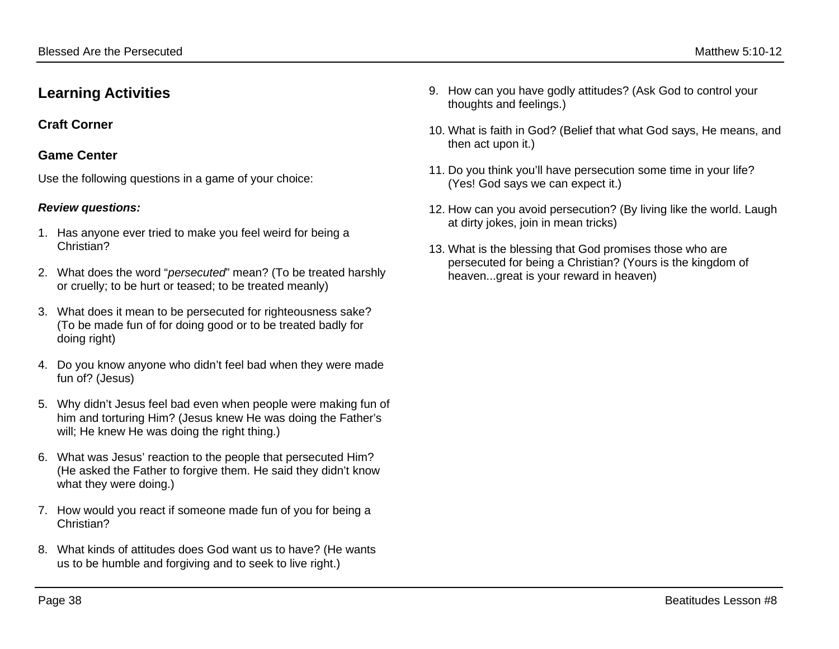## **Learning Activities**

## **Craft Corner**

## **Game Center**

Use the following questions in a game of your choice:

### *Review questions:*

- 1. Has anyone ever tried to make you feel weird for being a Christian?
- 2. What does the word "*persecuted*" mean? (To be treated harshly or cruelly; to be hurt or teased; to be treated meanly)
- 3. What does it mean to be persecuted for righteousness sake? (To be made fun of for doing good or to be treated badly for doing right)
- 4. Do you know anyone who didn't feel bad when they were made fun of? (Jesus)
- 5. Why didn't Jesus feel bad even when people were making fun of him and torturing Him? (Jesus knew He was doing the Father's will; He knew He was doing the right thing.)
- 6. What was Jesus' reaction to the people that persecuted Him? (He asked the Father to forgive them. He said they didn't know what they were doing.)
- 7. How would you react if someone made fun of you for being a Christian?
- 8. What kinds of attitudes does God want us to have? (He wants us to be humble and forgiving and to seek to live right.)
- 9. How can you have godly attitudes? (Ask God to control your thoughts and feelings.)
- 10. What is faith in God? (Belief that what God says, He means, and then act upon it.)
- 11. Do you think you'll have persecution some time in your life? (Yes! God says we can expect it.)
- 12. How can you avoid persecution? (By living like the world. Laugh at dirty jokes, join in mean tricks)
- 13. What is the blessing that God promises those who are persecuted for being a Christian? (Yours is the kingdom of heaven...great is your reward in heaven)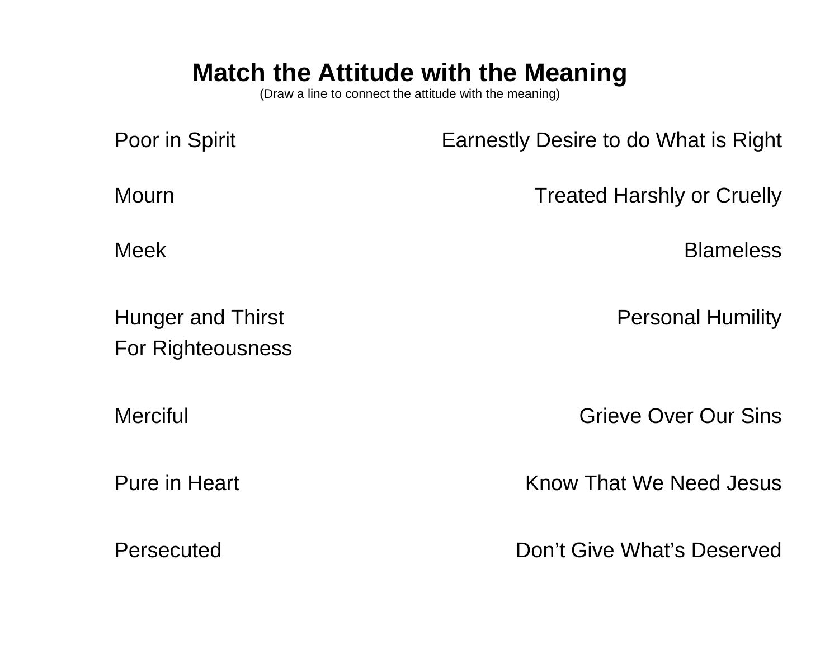# **Match the Attitude with the Meaning**

(Draw a line to connect the attitude with the meaning)

| Poor in Spirit                                | Earnestly Desire to do What is Right |
|-----------------------------------------------|--------------------------------------|
| <b>Mourn</b>                                  | <b>Treated Harshly or Cruelly</b>    |
| <b>Meek</b>                                   | <b>Blameless</b>                     |
| <b>Hunger and Thirst</b><br>For Righteousness | <b>Personal Humility</b>             |
| <b>Merciful</b>                               | Grieve Over Our Sins                 |
| <b>Pure in Heart</b>                          | <b>Know That We Need Jesus</b>       |
| Persecuted                                    | Don't Give What's Deserved           |